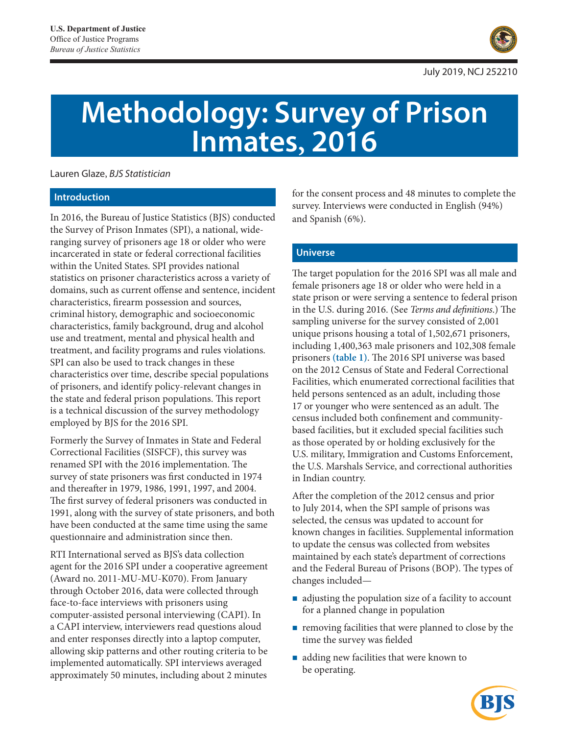

# **Methodology: Survey of Prison Inmates, 2016**

Lauren Glaze, *BJS Statistician*

# **Introduction**

In 2016, the Bureau of Justice Statistics (BJS) conducted the Survey of Prison Inmates (SPI), a national, wideranging survey of prisoners age 18 or older who were incarcerated in state or federal correctional facilities within the United States. SPI provides national statistics on prisoner characteristics across a variety of domains, such as current offense and sentence, incident characteristics, firearm possession and sources, criminal history, demographic and socioeconomic characteristics, family background, drug and alcohol use and treatment, mental and physical health and treatment, and facility programs and rules violations. SPI can also be used to track changes in these characteristics over time, describe special populations of prisoners, and identify policy-relevant changes in the state and federal prison populations. This report is a technical discussion of the survey methodology employed by BJS for the 2016 SPI.

Formerly the Survey of Inmates in State and Federal Correctional Facilities (SISFCF), this survey was renamed SPI with the 2016 implementation. The survey of state prisoners was first conducted in 1974 and thereafter in 1979, 1986, 1991, 1997, and 2004. The first survey of federal prisoners was conducted in 1991, along with the survey of state prisoners, and both have been conducted at the same time using the same questionnaire and administration since then.

RTI International served as BJS's data collection agent for the 2016 SPI under a cooperative agreement (Award no. 2011-MU-MU-K070). From January through October 2016, data were collected through face-to-face interviews with prisoners using computer-assisted personal interviewing (CAPI). In a CAPI interview, interviewers read questions aloud and enter responses directly into a laptop computer, allowing skip patterns and other routing criteria to be implemented automatically. SPI interviews averaged approximately 50 minutes, including about 2 minutes

for the consent process and 48 minutes to complete the survey. Interviews were conducted in English (94%) and Spanish (6%).

# **Universe**

The target population for the 2016 SPI was all male and female prisoners age 18 or older who were held in a state prison or were serving a sentence to federal prison in the U.S. during 2016. (See *Terms and definitions*.) The sampling universe for the survey consisted of 2,001 unique prisons housing a total of 1,502,671 prisoners, including 1,400,363 male prisoners and 102,308 female prisoners **(table 1)**. The 2016 SPI universe was based on the 2012 Census of State and Federal Correctional Facilities, which enumerated correctional facilities that held persons sentenced as an adult, including those 17 or younger who were sentenced as an adult. The census included both confinement and communitybased facilities, but it excluded special facilities such as those operated by or holding exclusively for the U.S. military, Immigration and Customs Enforcement, the U.S. Marshals Service, and correctional authorities in Indian country.

After the completion of the 2012 census and prior to July 2014, when the SPI sample of prisons was selected, the census was updated to account for known changes in facilities. Supplemental information to update the census was collected from websites maintained by each state's department of corrections and the Federal Bureau of Prisons (BOP). The types of changes included—

- adjusting the population size of a facility to account for a planned change in population
- **removing facilities that were planned to close by the** time the survey was fielded
- adding new facilities that were known to be operating.

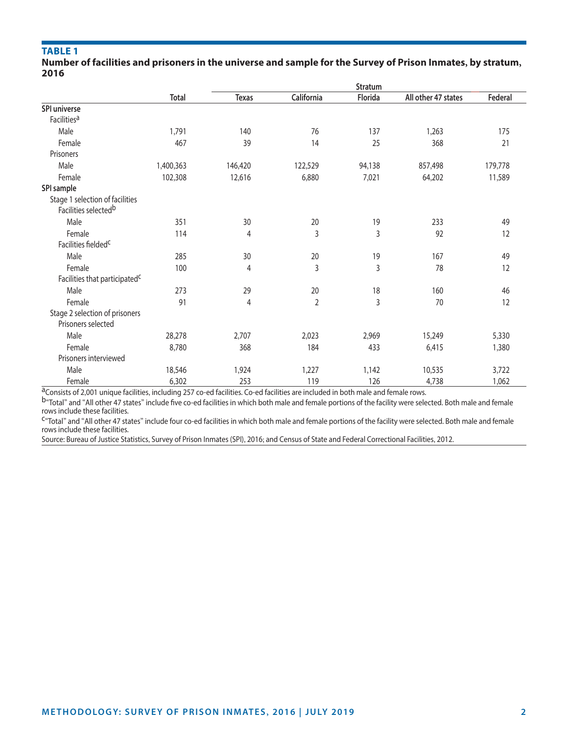# **Table 1**

#### **Number of facilities and prisoners in the universe and sample for the Survey of Prison Inmates, by stratum, 2016**

|                                                                     |           | Stratum      |                |         |                     |         |  |  |
|---------------------------------------------------------------------|-----------|--------------|----------------|---------|---------------------|---------|--|--|
|                                                                     | Total     | <b>Texas</b> | California     | Florida | All other 47 states | Federal |  |  |
| SPI universe                                                        |           |              |                |         |                     |         |  |  |
| Facilities <sup>a</sup>                                             |           |              |                |         |                     |         |  |  |
| Male                                                                | 1,791     | 140          | 76             | 137     | 1,263               | 175     |  |  |
| Female                                                              | 467       | 39           | 14             | 25      | 368                 | 21      |  |  |
| Prisoners                                                           |           |              |                |         |                     |         |  |  |
| Male                                                                | 1,400,363 | 146,420      | 122,529        | 94,138  | 857,498             | 179,778 |  |  |
| Female                                                              | 102,308   | 12,616       | 6,880          | 7,021   | 64,202              | 11,589  |  |  |
| SPI sample                                                          |           |              |                |         |                     |         |  |  |
| Stage 1 selection of facilities<br>Facilities selected <sup>b</sup> |           |              |                |         |                     |         |  |  |
| Male                                                                | 351       | 30           | 20             | 19      | 233                 | 49      |  |  |
| Female                                                              | 114       | 4            | 3              | 3       | 92                  | 12      |  |  |
| Facilities fielded <sup>c</sup>                                     |           |              |                |         |                     |         |  |  |
| Male                                                                | 285       | 30           | 20             | 19      | 167                 | 49      |  |  |
| Female                                                              | 100       | 4            | 3              | 3       | 78                  | 12      |  |  |
| Facilities that participated <sup>C</sup>                           |           |              |                |         |                     |         |  |  |
| Male                                                                | 273       | 29           | 20             | 18      | 160                 | 46      |  |  |
| Female                                                              | 91        | 4            | $\overline{2}$ | 3       | 70                  | 12      |  |  |
| Stage 2 selection of prisoners<br>Prisoners selected                |           |              |                |         |                     |         |  |  |
| Male                                                                | 28,278    | 2,707        | 2,023          | 2,969   | 15,249              | 5,330   |  |  |
| Female                                                              | 8,780     | 368          | 184            | 433     | 6,415               | 1,380   |  |  |
| Prisoners interviewed                                               |           |              |                |         |                     |         |  |  |
| Male                                                                | 18,546    | 1,924        | 1,227          | 1,142   | 10,535              | 3,722   |  |  |
| Female                                                              | 6,302     | 253          | 119            | 126     | 4,738               | 1,062   |  |  |

 $a$ Consists of 2,001 unique facilities, including 257 co-ed facilities. Co-ed facilities are included in both male and female rows.<br>b"Total" and "All other 47 states" include five co-ed facilities in which both male and f rows include these facilities.

C"Total" and "All other 47 states" include four co-ed facilities in which both male and female portions of the facility were selected. Both male and female rows include these facilities.

Source: Bureau of Justice Statistics, Survey of Prison Inmates (SPI), 2016; and Census of State and Federal Correctional Facilities, 2012.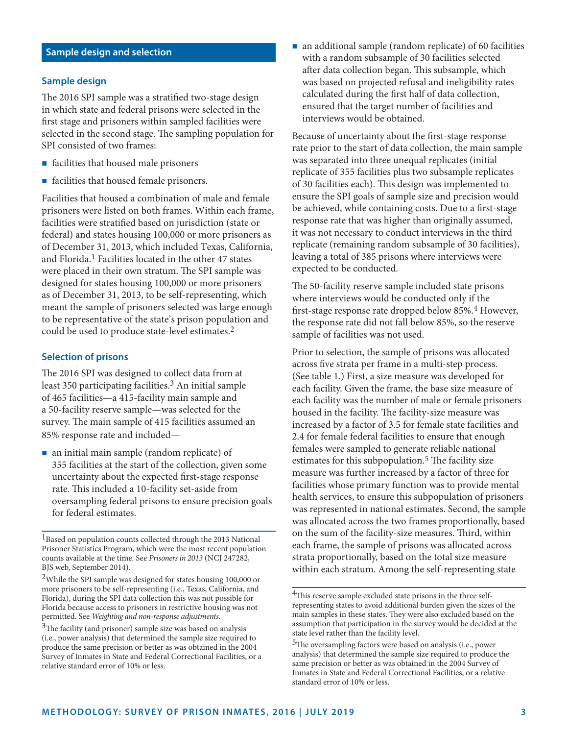# **Sample design and selection**

#### **Sample design**

The 2016 SPI sample was a stratified two-stage design in which state and federal prisons were selected in the first stage and prisoners within sampled facilities were selected in the second stage. The sampling population for SPI consisted of two frames:

- facilities that housed male prisoners
- facilities that housed female prisoners.

Facilities that housed a combination of male and female prisoners were listed on both frames. Within each frame, facilities were stratified based on jurisdiction (state or federal) and states housing 100,000 or more prisoners as of December 31, 2013, which included Texas, California, and Florida.<sup>1</sup> Facilities located in the other 47 states were placed in their own stratum. The SPI sample was designed for states housing 100,000 or more prisoners as of December 31, 2013, to be self-representing, which meant the sample of prisoners selected was large enough to be representative of the state's prison population and could be used to produce state-level estimates.2

#### **Selection of prisons**

The 2016 SPI was designed to collect data from at least 350 participating facilities.<sup>3</sup> An initial sample of 465 facilities—a 415-facility main sample and a 50-facility reserve sample—was selected for the survey. The main sample of 415 facilities assumed an 85% response rate and included—

■ an initial main sample (random replicate) of 355 facilities at the start of the collection, given some uncertainty about the expected first-stage response rate. This included a 10-facility set-aside from oversampling federal prisons to ensure precision goals for federal estimates.

<sup>1</sup>Based on population counts collected through the 2013 National Prisoner Statistics Program, which were the most recent population counts available at the time. See *Prisoners in 2013* (NCJ 247282, BJS web, September 2014).

 an additional sample (random replicate) of 60 facilities with a random subsample of 30 facilities selected after data collection began. This subsample, which was based on projected refusal and ineligibility rates calculated during the first half of data collection, ensured that the target number of facilities and interviews would be obtained.

Because of uncertainty about the first-stage response rate prior to the start of data collection, the main sample was separated into three unequal replicates (initial replicate of 355 facilities plus two subsample replicates of 30 facilities each). This design was implemented to ensure the SPI goals of sample size and precision would be achieved, while containing costs. Due to a first-stage response rate that was higher than originally assumed, it was not necessary to conduct interviews in the third replicate (remaining random subsample of 30 facilities), leaving a total of 385 prisons where interviews were expected to be conducted.

The 50-facility reserve sample included state prisons where interviews would be conducted only if the first-stage response rate dropped below 85%.4 However, the response rate did not fall below 85%, so the reserve sample of facilities was not used.

Prior to selection, the sample of prisons was allocated across five strata per frame in a multi-step process. (See table 1.) First, a size measure was developed for each facility. Given the frame, the base size measure of each facility was the number of male or female prisoners housed in the facility. The facility-size measure was increased by a factor of 3.5 for female state facilities and 2.4 for female federal facilities to ensure that enough females were sampled to generate reliable national estimates for this subpopulation.<sup>5</sup> The facility size measure was further increased by a factor of three for facilities whose primary function was to provide mental health services, to ensure this subpopulation of prisoners was represented in national estimates. Second, the sample was allocated across the two frames proportionally, based on the sum of the facility-size measures. Third, within each frame, the sample of prisons was allocated across strata proportionally, based on the total size measure within each stratum. Among the self-representing state

<sup>2</sup>While the SPI sample was designed for states housing 100,000 or more prisoners to be self-representing (i.e., Texas, California, and Florida), during the SPI data collection this was not possible for Florida because access to prisoners in restrictive housing was not permitted. See *Weighting and non-response adjustments.*

<sup>&</sup>lt;sup>3</sup>The facility (and prisoner) sample size was based on analysis (i.e., power analysis) that determined the sample size required to produce the same precision or better as was obtained in the 2004 Survey of Inmates in State and Federal Correctional Facilities, or a relative standard error of 10% or less.

<sup>&</sup>lt;sup>4</sup>This reserve sample excluded state prisons in the three selfrepresenting states to avoid additional burden given the sizes of the main samples in these states. They were also excluded based on the assumption that participation in the survey would be decided at the state level rather than the facility level.

<sup>5</sup>The oversampling factors were based on analysis (i.e., power analysis) that determined the sample size required to produce the same precision or better as was obtained in the 2004 Survey of Inmates in State and Federal Correctional Facilities, or a relative standard error of 10% or less.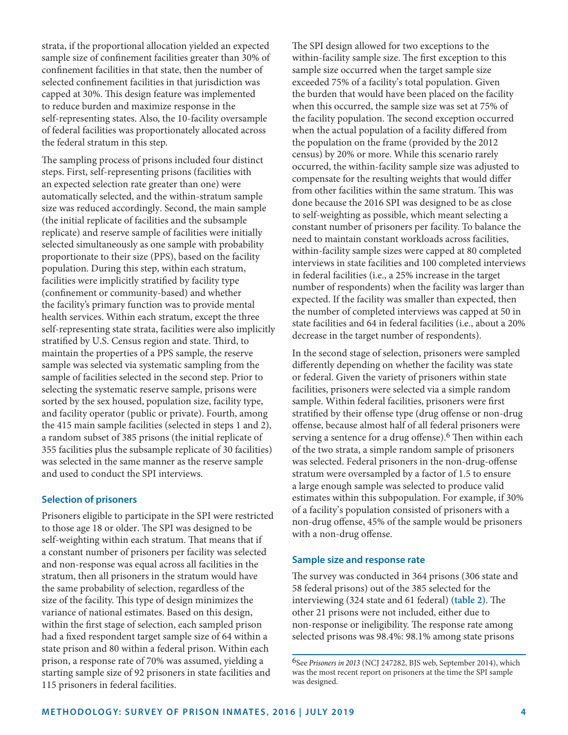strata, if the proportional allocation yielded an expected sample size of confinement facilities greater than 30% of confinement facilities in that state, then the number of selected confinement facilities in that jurisdiction was capped at 30%. This design feature was implemented to reduce burden and maximize response in the self-representing states. Also, the 10-facility oversample of federal facilities was proportionately allocated across the federal stratum in this step.

The sampling process of prisons included four distinct steps. First, self-representing prisons (facilities with an expected selection rate greater than one) were automatically selected, and the within-stratum sample size was reduced accordingly. Second, the main sample (the initial replicate of facilities and the subsample replicate) and reserve sample of facilities were initially selected simultaneously as one sample with probability proportionate to their size (PPS), based on the facility population. During this step, within each stratum, facilities were implicitly stratified by facility type (confinement or community-based) and whether the facility's primary function was to provide mental health services. Within each stratum, except the three self-representing state strata, facilities were also implicitly stratified by U.S. Census region and state. Third, to maintain the properties of a PPS sample, the reserve sample was selected via systematic sampling from the sample of facilities selected in the second step. Prior to selecting the systematic reserve sample, prisons were sorted by the sex housed, population size, facility type, and facility operator (public or private). Fourth, among the 415 main sample facilities (selected in steps 1 and 2), a random subset of 385 prisons (the initial replicate of 355 facilities plus the subsample replicate of 30 facilities) was selected in the same manner as the reserve sample and used to conduct the SPI interviews.

#### **Selection of prisoners**

Prisoners eligible to participate in the SPI were restricted to those age 18 or older. The SPI was designed to be self-weighting within each stratum. That means that if a constant number of prisoners per facility was selected and non-response was equal across all facilities in the stratum, then all prisoners in the stratum would have the same probability of selection, regardless of the size of the facility. This type of design minimizes the variance of national estimates. Based on this design, within the first stage of selection, each sampled prison had a fixed respondent target sample size of 64 within a state prison and 80 within a federal prison. Within each prison, a response rate of 70% was assumed, yielding a starting sample size of 92 prisoners in state facilities and 115 prisoners in federal facilities.

The SPI design allowed for two exceptions to the within-facility sample size. The first exception to this sample size occurred when the target sample size exceeded 75% of a facility's total population. Given the burden that would have been placed on the facility when this occurred, the sample size was set at 75% of the facility population. The second exception occurred when the actual population of a facility differed from the population on the frame (provided by the 2012 census) by 20% or more. While this scenario rarely occurred, the within-facility sample size was adjusted to compensate for the resulting weights that would differ from other facilities within the same stratum. This was done because the 2016 SPI was designed to be as close to self-weighting as possible, which meant selecting a constant number of prisoners per facility. To balance the need to maintain constant workloads across facilities, within-facility sample sizes were capped at 80 completed interviews in state facilities and 100 completed interviews in federal facilities (i.e., a 25% increase in the target number of respondents) when the facility was larger than expected. If the facility was smaller than expected, then the number of completed interviews was capped at 50 in state facilities and 64 in federal facilities (i.e., about a 20% decrease in the target number of respondents).

In the second stage of selection, prisoners were sampled differently depending on whether the facility was state or federal. Given the variety of prisoners within state facilities, prisoners were selected via a simple random sample. Within federal facilities, prisoners were first stratified by their offense type (drug offense or non-drug offense, because almost half of all federal prisoners were serving a sentence for a drug offense).<sup>6</sup> Then within each of the two strata, a simple random sample of prisoners was selected. Federal prisoners in the non-drug-offense stratum were oversampled by a factor of 1.5 to ensure a large enough sample was selected to produce valid estimates within this subpopulation. For example, if 30% of a facility's population consisted of prisoners with a non-drug offense, 45% of the sample would be prisoners with a non-drug offense.

#### **Sample size and response rate**

The survey was conducted in 364 prisons (306 state and 58 federal prisons) out of the 385 selected for the interviewing (324 state and 61 federal) **(table 2)**. The other 21 prisons were not included, either due to non-response or ineligibility. The response rate among selected prisons was 98.4%: 98.1% among state prisons

<sup>6</sup>See *Prisoners in 2013* (NCJ 247282, BJS web, September 2014), which was the most recent report on prisoners at the time the SPI sample was designed.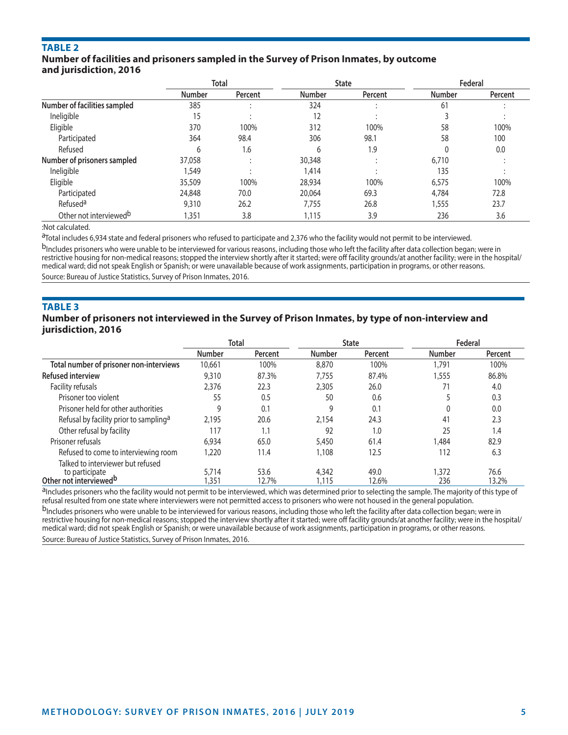# **Table 2**

# **Number of facilities and prisoners sampled in the Survey of Prison Inmates, by outcome and jurisdiction, 2016**

|                                    | <b>Total</b>  |         | <b>State</b>  |         |               | Federal |  |
|------------------------------------|---------------|---------|---------------|---------|---------------|---------|--|
|                                    | <b>Number</b> | Percent | <b>Number</b> | Percent | <b>Number</b> | Percent |  |
| Number of facilities sampled       | 385           |         | 324           |         | 61            |         |  |
| Ineligible                         | 15            |         | 12            |         |               |         |  |
| Eligible                           | 370           | 100%    | 312           | 100%    | 58            | 100%    |  |
| Participated                       | 364           | 98.4    | 306           | 98.1    | 58            | 100     |  |
| Refused                            | 6             | 1.6     | 6             | 1.9     |               | 0.0     |  |
| Number of prisoners sampled        | 37,058        |         | 30,348        |         | 6,710         |         |  |
| Ineligible                         | 1,549         |         | 1,414         |         | 135           |         |  |
| Eligible                           | 35,509        | 100%    | 28,934        | 100%    | 6,575         | 100%    |  |
| Participated                       | 24,848        | 70.0    | 20,064        | 69.3    | 4,784         | 72.8    |  |
| Refused <sup>a</sup>               | 9,310         | 26.2    | 7,755         | 26.8    | 1,555         | 23.7    |  |
| Other not interviewed <sup>b</sup> | 1,351         | 3.8     | 1,115         | 3.9     | 236           | 3.6     |  |

:Not calculated.

aTotal includes 6,934 state and federal prisoners who refused to participate and 2,376 who the facility would not permit to be interviewed.

bIncludes prisoners who were unable to be interviewed for various reasons, including those who left the facility after data collection began; were in restrictive housing for non-medical reasons; stopped the interview shortly after it started; were off facility grounds/at another facility; were in the hospital/ medical ward; did not speak English or Spanish; or were unavailable because of work assignments, participation in programs, or other reasons. Source: Bureau of Justice Statistics, Survey of Prison Inmates, 2016.

**Table 3**

#### **Number of prisoners not interviewed in the Survey of Prison Inmates, by type of non-interview and jurisdiction, 2016**

|                                                      | <b>Total</b>  |               | <b>State</b>   |               | Federal       |               |
|------------------------------------------------------|---------------|---------------|----------------|---------------|---------------|---------------|
|                                                      | <b>Number</b> | Percent       | <b>Number</b>  | Percent       | <b>Number</b> | Percent       |
| Total number of prisoner non-interviews              | 10,661        | 100%          | 8,870          | 100%          | 1,791         | 100%          |
| <b>Refused interview</b>                             | 9,310         | 87.3%         | 7.755          | 87.4%         | 1,555         | 86.8%         |
| Facility refusals                                    | 2,376         | 22.3          | 2,305          | 26.0          | 71            | 4.0           |
| Prisoner too violent                                 | 55            | 0.5           | 50             | 0.6           |               | 0.3           |
| Prisoner held for other authorities                  | 9             | 0.1           | 9              | 0.1           |               | 0.0           |
| Refusal by facility prior to sampling <sup>a</sup>   | 2,195         | 20.6          | 2,154          | 24.3          | 41            | 2.3           |
| Other refusal by facility                            | 117           | 1.1           | 92             | 1.0           | 25            | 1.4           |
| Prisoner refusals                                    | 6,934         | 65.0          | 5,450          | 61.4          | 1,484         | 82.9          |
| Refused to come to interviewing room                 | 1,220         | 11.4          | 1,108          | 12.5          | 112           | 6.3           |
| Talked to interviewer but refused                    |               |               |                |               |               |               |
| to participate<br>Other not interviewed <sup>b</sup> | 5,714<br>351  | 53.6<br>12.7% | 4,342<br>1,115 | 49.0<br>12.6% | 1,372<br>236  | 76.6<br>13.2% |

<sup>a</sup>Includes prisoners who the facility would not permit to be interviewed, which was determined prior to selecting the sample. The majority of this type of refusal resulted from one state where interviewers were not permitted access to prisoners who were not housed in the general population.

bIncludes prisoners who were unable to be interviewed for various reasons, including those who left the facility after data collection began; were in restrictive housing for non-medical reasons; stopped the interview shortly after it started; were off facility grounds/at another facility; were in the hospital/ medical ward; did not speak English or Spanish; or were unavailable because of work assignments, participation in programs, or other reasons. Source: Bureau of Justice Statistics, Survey of Prison Inmates, 2016.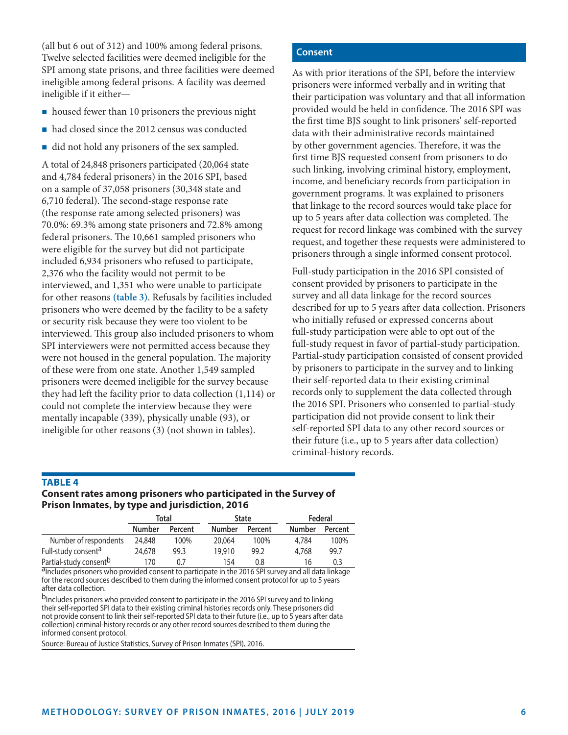(all but 6 out of 312) and 100% among federal prisons. Twelve selected facilities were deemed ineligible for the SPI among state prisons, and three facilities were deemed ineligible among federal prisons. A facility was deemed ineligible if it either—

- housed fewer than 10 prisoners the previous night
- had closed since the 2012 census was conducted
- did not hold any prisoners of the sex sampled.

A total of 24,848 prisoners participated (20,064 state and 4,784 federal prisoners) in the 2016 SPI, based on a sample of 37,058 prisoners (30,348 state and 6,710 federal). The second-stage response rate (the response rate among selected prisoners) was 70.0%: 69.3% among state prisoners and 72.8% among federal prisoners. The 10,661 sampled prisoners who were eligible for the survey but did not participate included 6,934 prisoners who refused to participate, 2,376 who the facility would not permit to be interviewed, and 1,351 who were unable to participate for other reasons **(table 3)**. Refusals by facilities included prisoners who were deemed by the facility to be a safety or security risk because they were too violent to be interviewed. This group also included prisoners to whom SPI interviewers were not permitted access because they were not housed in the general population. The majority of these were from one state. Another 1,549 sampled prisoners were deemed ineligible for the survey because they had left the facility prior to data collection (1,114) or could not complete the interview because they were mentally incapable (339), physically unable (93), or ineligible for other reasons (3) (not shown in tables).

#### **Consent**

As with prior iterations of the SPI, before the interview prisoners were informed verbally and in writing that their participation was voluntary and that all information provided would be held in confidence. The 2016 SPI was the first time BJS sought to link prisoners' self-reported data with their administrative records maintained by other government agencies. Therefore, it was the first time BJS requested consent from prisoners to do such linking, involving criminal history, employment, income, and beneficiary records from participation in government programs. It was explained to prisoners that linkage to the record sources would take place for up to 5 years after data collection was completed. The request for record linkage was combined with the survey request, and together these requests were administered to prisoners through a single informed consent protocol.

Full-study participation in the 2016 SPI consisted of consent provided by prisoners to participate in the survey and all data linkage for the record sources described for up to 5 years after data collection. Prisoners who initially refused or expressed concerns about full-study participation were able to opt out of the full-study request in favor of partial-study participation. Partial-study participation consisted of consent provided by prisoners to participate in the survey and to linking their self-reported data to their existing criminal records only to supplement the data collected through the 2016 SPI. Prisoners who consented to partial-study participation did not provide consent to link their self-reported SPI data to any other record sources or their future (i.e., up to 5 years after data collection) criminal-history records.

#### **Table 4 Consent rates among prisoners who participated in the Survey of Prison Inmates, by type and jurisdiction, 2016**

|                                    | Total         |         | <b>State</b>  |         | Federal |         |
|------------------------------------|---------------|---------|---------------|---------|---------|---------|
|                                    | <b>Number</b> | Percent | <b>Number</b> | Percent | Number  | Percent |
| Number of respondents              | 24,848        | 100%    | 20,064        | 100%    | 4,784   | 100%    |
| Full-study consent <sup>a</sup>    | 24,678        | 99.3    | 19.910        | 99.2    | 4,768   | 99.7    |
| Partial-study consent <sup>b</sup> | 170           | 0.7     | 154           | 0.8     | 16      | 0.3     |

aIncludes prisoners who provided consent to participate in the 2016 SPI survey and all data linkage for the record sources described to them during the informed consent protocol for up to 5 years after data collection.

b<sub>Includes</sub> prisoners who provided consent to participate in the 2016 SPI survey and to linking their self-reported SPI data to their existing criminal histories records only. These prisoners did not provide consent to link their self-reported SPI data to their future (i.e., up to 5 years after data collection) criminal-history records or any other record sources described to them during the informed consent protocol.

Source: Bureau of Justice Statistics, Survey of Prison Inmates (SPI), 2016.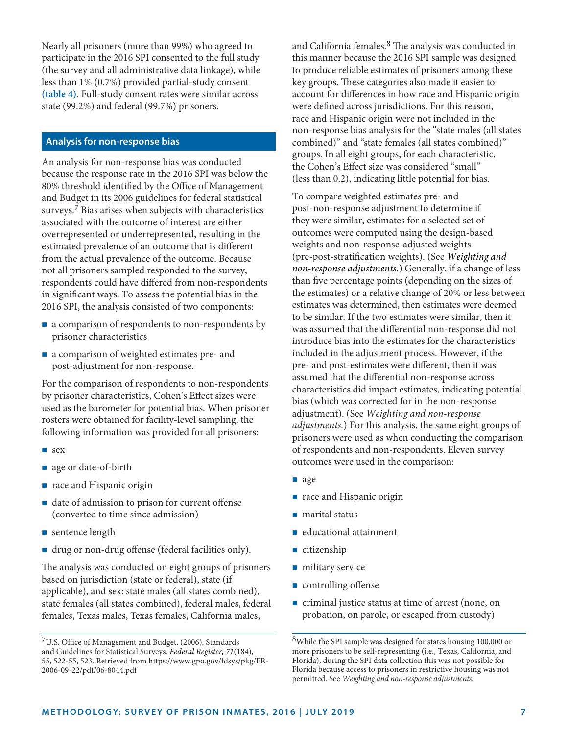Nearly all prisoners (more than 99%) who agreed to participate in the 2016 SPI consented to the full study (the survey and all administrative data linkage), while less than 1% (0.7%) provided partial-study consent **(table 4)**. Full-study consent rates were similar across state (99.2%) and federal (99.7%) prisoners.

# **Analysis for non-response bias**

An analysis for non-response bias was conducted because the response rate in the 2016 SPI was below the 80% threshold identified by the Office of Management and Budget in its 2006 guidelines for federal statistical surveys.<sup>7</sup> Bias arises when subjects with characteristics associated with the outcome of interest are either overrepresented or underrepresented, resulting in the estimated prevalence of an outcome that is different from the actual prevalence of the outcome. Because not all prisoners sampled responded to the survey, respondents could have differed from non-respondents in significant ways. To assess the potential bias in the 2016 SPI, the analysis consisted of two components:

- a comparison of respondents to non-respondents by prisoner characteristics
- a comparison of weighted estimates pre- and post-adjustment for non-response.

For the comparison of respondents to non-respondents by prisoner characteristics, Cohen's Effect sizes were used as the barometer for potential bias. When prisoner rosters were obtained for facility-level sampling, the following information was provided for all prisoners:

- sex
- que or date-of-birth
- nace and Hispanic origin
- date of admission to prison for current offense (converted to time since admission)
- sentence length
- drug or non-drug offense (federal facilities only).

The analysis was conducted on eight groups of prisoners based on jurisdiction (state or federal), state (if applicable), and sex: state males (all states combined), state females (all states combined), federal males, federal females, Texas males, Texas females, California males,

and California females.8 The analysis was conducted in this manner because the 2016 SPI sample was designed to produce reliable estimates of prisoners among these key groups. These categories also made it easier to account for differences in how race and Hispanic origin were defined across jurisdictions. For this reason, race and Hispanic origin were not included in the non-response bias analysis for the "state males (all states combined)" and "state females (all states combined)" groups. In all eight groups, for each characteristic, the Cohen's Effect size was considered "small" (less than 0.2), indicating little potential for bias.

To compare weighted estimates pre- and post-non-response adjustment to determine if they were similar, estimates for a selected set of outcomes were computed using the design-based weights and non-response-adjusted weights (pre-post-stratification weights). (See *Weighting and non-response adjustments.*) Generally, if a change of less than five percentage points (depending on the sizes of the estimates) or a relative change of 20% or less between estimates was determined, then estimates were deemed to be similar. If the two estimates were similar, then it was assumed that the differential non-response did not introduce bias into the estimates for the characteristics included in the adjustment process. However, if the pre- and post-estimates were different, then it was assumed that the differential non-response across characteristics did impact estimates, indicating potential bias (which was corrected for in the non-response adjustment). (See *Weighting and non-response adjustments.*) For this analysis, the same eight groups of prisoners were used as when conducting the comparison of respondents and non-respondents. Eleven survey outcomes were used in the comparison:

- age
- race and Hispanic origin
- marital status
- educational attainment
- citizenship
- military service
- **controlling offense**
- criminal justice status at time of arrest (none, on probation, on parole, or escaped from custody)

<sup>7</sup>U.S. Office of Management and Budget. (2006). Standards and Guidelines for Statistical Surveys. *Federal Register, 71*(184), 55, 522-55, 523. Retrieved from [https://www.gpo.gov/fdsys/pkg/FR-](Federal Register, 71(184), 55,522-55,523. Retrieved from https://www.gpo.gov/fdsys/pkg/FR-2006-09-22/pdf/06-8044.pdf)[2006-09-22/pdf/06-8044.pdf](Federal Register, 71(184), 55,522-55,523. Retrieved from https://www.gpo.gov/fdsys/pkg/FR-2006-09-22/pdf/06-8044.pdf)

<sup>8</sup>While the SPI sample was designed for states housing 100,000 or more prisoners to be self-representing (i.e., Texas, California, and Florida), during the SPI data collection this was not possible for Florida because access to prisoners in restrictive housing was not permitted. See *Weighting and non-response adjustments.*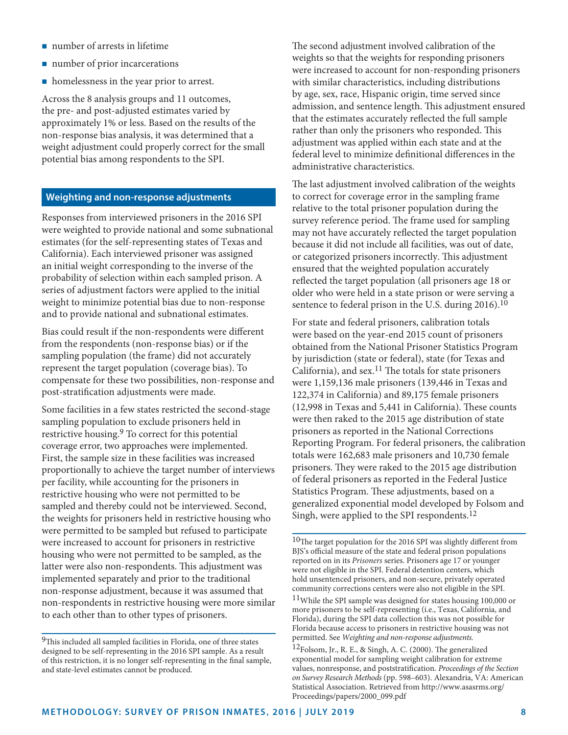- number of arrests in lifetime
- number of prior incarcerations
- homelessness in the year prior to arrest.

Across the 8 analysis groups and 11 outcomes, the pre- and post-adjusted estimates varied by approximately 1% or less. Based on the results of the non-response bias analysis, it was determined that a weight adjustment could properly correct for the small potential bias among respondents to the SPI.

#### **Weighting and non-response adjustments**

Responses from interviewed prisoners in the 2016 SPI were weighted to provide national and some subnational estimates (for the self-representing states of Texas and California). Each interviewed prisoner was assigned an initial weight corresponding to the inverse of the probability of selection within each sampled prison. A series of adjustment factors were applied to the initial weight to minimize potential bias due to non-response and to provide national and subnational estimates.

Bias could result if the non-respondents were different from the respondents (non-response bias) or if the sampling population (the frame) did not accurately represent the target population (coverage bias). To compensate for these two possibilities, non-response and post-stratification adjustments were made.

Some facilities in a few states restricted the second-stage sampling population to exclude prisoners held in restrictive housing.9 To correct for this potential coverage error, two approaches were implemented. First, the sample size in these facilities was increased proportionally to achieve the target number of interviews per facility, while accounting for the prisoners in restrictive housing who were not permitted to be sampled and thereby could not be interviewed. Second, the weights for prisoners held in restrictive housing who were permitted to be sampled but refused to participate were increased to account for prisoners in restrictive housing who were not permitted to be sampled, as the latter were also non-respondents. This adjustment was implemented separately and prior to the traditional non-response adjustment, because it was assumed that non-respondents in restrictive housing were more similar to each other than to other types of prisoners.

The second adjustment involved calibration of the weights so that the weights for responding prisoners were increased to account for non-responding prisoners with similar characteristics, including distributions by age, sex, race, Hispanic origin, time served since admission, and sentence length. This adjustment ensured that the estimates accurately reflected the full sample rather than only the prisoners who responded. This adjustment was applied within each state and at the federal level to minimize definitional differences in the administrative characteristics.

The last adjustment involved calibration of the weights to correct for coverage error in the sampling frame relative to the total prisoner population during the survey reference period. The frame used for sampling may not have accurately reflected the target population because it did not include all facilities, was out of date, or categorized prisoners incorrectly. This adjustment ensured that the weighted population accurately reflected the target population (all prisoners age 18 or older who were held in a state prison or were serving a sentence to federal prison in the U.S. during 2016).<sup>10</sup>

For state and federal prisoners, calibration totals were based on the year-end 2015 count of prisoners obtained from the National Prisoner Statistics Program by jurisdiction (state or federal), state (for Texas and California), and sex.<sup>11</sup> The totals for state prisoners were 1,159,136 male prisoners (139,446 in Texas and 122,374 in California) and 89,175 female prisoners (12,998 in Texas and 5,441 in California). These counts were then raked to the 2015 age distribution of state prisoners as reported in the National Corrections Reporting Program. For federal prisoners, the calibration totals were 162,683 male prisoners and 10,730 female prisoners. They were raked to the 2015 age distribution of federal prisoners as reported in the Federal Justice Statistics Program. These adjustments, based on a generalized exponential model developed by Folsom and Singh, were applied to the SPI respondents.12

 $9$ This included all sampled facilities in Florida, one of three states designed to be self-representing in the 2016 SPI sample. As a result of this restriction, it is no longer self-representing in the final sample, and state-level estimates cannot be produced.

<sup>10</sup>The target population for the 2016 SPI was slightly different from BJS's official measure of the state and federal prison populations reported on in its *Prisoners* series. Prisoners age 17 or younger were not eligible in the SPI. Federal detention centers, which hold unsentenced prisoners, and non-secure, privately operated community corrections centers were also not eligible in the SPI.

<sup>11</sup>While the SPI sample was designed for states housing 100,000 or more prisoners to be self-representing (i.e., Texas, California, and Florida), during the SPI data collection this was not possible for Florida because access to prisoners in restrictive housing was not permitted. See *Weighting and non-response adjustments.*

<sup>12</sup>Folsom, Jr., R. E., & Singh, A. C. (2000). The generalized exponential model for sampling weight calibration for extreme values, nonresponse, and poststratification. *Proceedings of the Section on Survey Research Methods* (pp. 598–603). Alexandria, VA: American Statistical Association. Retrieved from [http://www.asasrms.org/](http://www.asasrms.org/Proceedings/papers/2000_099.pdf) [Proceedings/papers/2000\\_099.pdf](http://www.asasrms.org/Proceedings/papers/2000_099.pdf)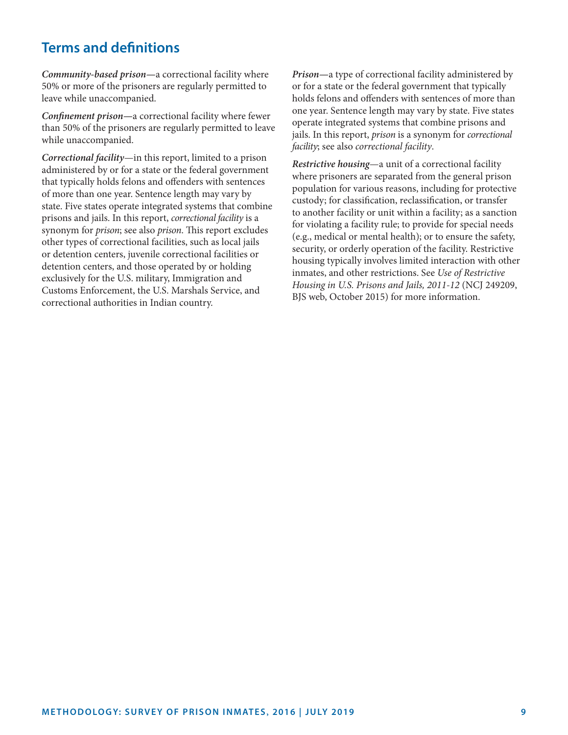# **Terms and definitions**

*Community-based prison—*a correctional facility where 50% or more of the prisoners are regularly permitted to leave while unaccompanied.

*Confinement prison—*a correctional facility where fewer than 50% of the prisoners are regularly permitted to leave while unaccompanied.

*Correctional facility*—in this report, limited to a prison administered by or for a state or the federal government that typically holds felons and offenders with sentences of more than one year. Sentence length may vary by state. Five states operate integrated systems that combine prisons and jails. In this report, *correctional facility* is a synonym for *prison*; see also *prison*. This report excludes other types of correctional facilities, such as local jails or detention centers, juvenile correctional facilities or detention centers, and those operated by or holding exclusively for the U.S. military, Immigration and Customs Enforcement, the U.S. Marshals Service, and correctional authorities in Indian country.

*Prison—*a type of correctional facility administered by or for a state or the federal government that typically holds felons and offenders with sentences of more than one year. Sentence length may vary by state. Five states operate integrated systems that combine prisons and jails. In this report, *prison* is a synonym for *correctional facility*; see also *correctional facility*.

*Restrictive housing*—a unit of a correctional facility where prisoners are separated from the general prison population for various reasons, including for protective custody; for classification, reclassification, or transfer to another facility or unit within a facility; as a sanction for violating a facility rule; to provide for special needs (e.g., medical or mental health); or to ensure the safety, security, or orderly operation of the facility. Restrictive housing typically involves limited interaction with other inmates, and other restrictions. See *Use of Restrictive Housing in U.S. Prisons and Jails, 2011-12* (NCJ 249209, BJS web, October 2015) for more information.